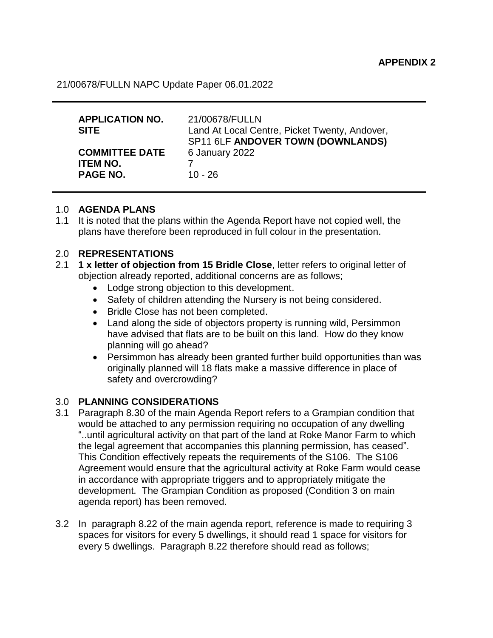21/00678/FULLN NAPC Update Paper 06.01.2022

| <b>APPLICATION NO.</b><br><b>SITE</b>                       | 21/00678/FULLN<br>Land At Local Centre, Picket Twenty, Andover,<br>SP11 6LF ANDOVER TOWN (DOWNLANDS) |
|-------------------------------------------------------------|------------------------------------------------------------------------------------------------------|
| <b>COMMITTEE DATE</b><br><b>ITEM NO.</b><br><b>PAGE NO.</b> | 6 January 2022<br>$10 - 26$                                                                          |

## 1.0 **AGENDA PLANS**

1.1 It is noted that the plans within the Agenda Report have not copied well, the plans have therefore been reproduced in full colour in the presentation.

## 2.0 **REPRESENTATIONS**

- 2.1 **1 x letter of objection from 15 Bridle Close**, letter refers to original letter of objection already reported, additional concerns are as follows;
	- Lodge strong objection to this development.
	- Safety of children attending the Nursery is not being considered.
	- Bridle Close has not been completed.
	- Land along the side of objectors property is running wild, Persimmon have advised that flats are to be built on this land. How do they know planning will go ahead?
	- Persimmon has already been granted further build opportunities than was originally planned will 18 flats make a massive difference in place of safety and overcrowding?

## 3.0 **PLANNING CONSIDERATIONS**

- 3.1 Paragraph 8.30 of the main Agenda Report refers to a Grampian condition that would be attached to any permission requiring no occupation of any dwelling "..until agricultural activity on that part of the land at Roke Manor Farm to which the legal agreement that accompanies this planning permission, has ceased". This Condition effectively repeats the requirements of the S106. The S106 Agreement would ensure that the agricultural activity at Roke Farm would cease in accordance with appropriate triggers and to appropriately mitigate the development. The Grampian Condition as proposed (Condition 3 on main agenda report) has been removed.
- 3.2 In paragraph 8.22 of the main agenda report, reference is made to requiring 3 spaces for visitors for every 5 dwellings, it should read 1 space for visitors for every 5 dwellings. Paragraph 8.22 therefore should read as follows;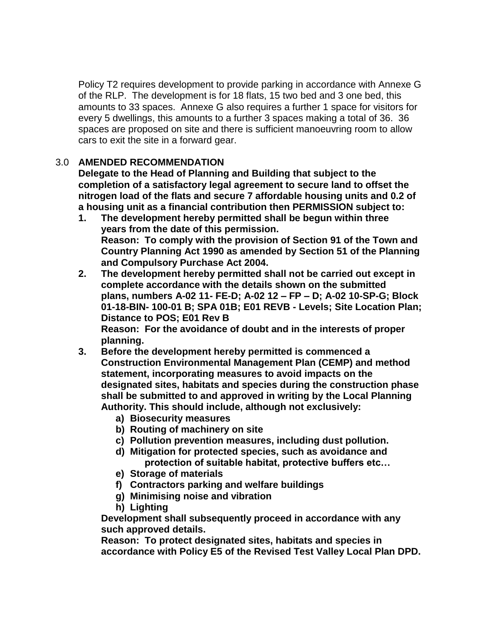Policy T2 requires development to provide parking in accordance with Annexe G of the RLP. The development is for 18 flats, 15 two bed and 3 one bed, this amounts to 33 spaces. Annexe G also requires a further 1 space for visitors for every 5 dwellings, this amounts to a further 3 spaces making a total of 36. 36 spaces are proposed on site and there is sufficient manoeuvring room to allow cars to exit the site in a forward gear.

## 3.0 **AMENDED RECOMMENDATION**

**Delegate to the Head of Planning and Building that subject to the completion of a satisfactory legal agreement to secure land to offset the nitrogen load of the flats and secure 7 affordable housing units and 0.2 of a housing unit as a financial contribution then PERMISSION subject to:**

- **1. The development hereby permitted shall be begun within three years from the date of this permission. Reason: To comply with the provision of Section 91 of the Town and Country Planning Act 1990 as amended by Section 51 of the Planning and Compulsory Purchase Act 2004.**
- **2. The development hereby permitted shall not be carried out except in complete accordance with the details shown on the submitted plans, numbers A-02 11- FE-D; A-02 12 – FP – D; A-02 10-SP-G; Block 01-18-BIN- 100-01 B; SPA 01B; E01 REVB - Levels; Site Location Plan; Distance to POS; E01 Rev B**

**Reason: For the avoidance of doubt and in the interests of proper planning.**

- **3. Before the development hereby permitted is commenced a Construction Environmental Management Plan (CEMP) and method statement, incorporating measures to avoid impacts on the designated sites, habitats and species during the construction phase shall be submitted to and approved in writing by the Local Planning Authority. This should include, although not exclusively:**
	- **a) Biosecurity measures**
	- **b) Routing of machinery on site**
	- **c) Pollution prevention measures, including dust pollution.**
	- **d) Mitigation for protected species, such as avoidance and protection of suitable habitat, protective buffers etc…**
	- **e) Storage of materials**
	- **f) Contractors parking and welfare buildings**
	- **g) Minimising noise and vibration**
	- **h) Lighting**

**Development shall subsequently proceed in accordance with any such approved details.** 

**Reason: To protect designated sites, habitats and species in accordance with Policy E5 of the Revised Test Valley Local Plan DPD.**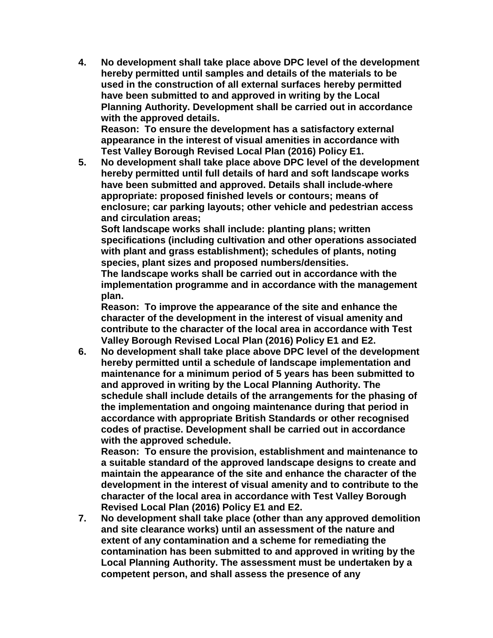**4. No development shall take place above DPC level of the development hereby permitted until samples and details of the materials to be used in the construction of all external surfaces hereby permitted have been submitted to and approved in writing by the Local Planning Authority. Development shall be carried out in accordance with the approved details.**

**Reason: To ensure the development has a satisfactory external appearance in the interest of visual amenities in accordance with Test Valley Borough Revised Local Plan (2016) Policy E1.**

**5. No development shall take place above DPC level of the development hereby permitted until full details of hard and soft landscape works have been submitted and approved. Details shall include-where appropriate: proposed finished levels or contours; means of enclosure; car parking layouts; other vehicle and pedestrian access and circulation areas;**

**Soft landscape works shall include: planting plans; written specifications (including cultivation and other operations associated with plant and grass establishment); schedules of plants, noting species, plant sizes and proposed numbers/densities. The landscape works shall be carried out in accordance with the implementation programme and in accordance with the management plan.**

**Reason: To improve the appearance of the site and enhance the character of the development in the interest of visual amenity and contribute to the character of the local area in accordance with Test Valley Borough Revised Local Plan (2016) Policy E1 and E2.**

**6. No development shall take place above DPC level of the development hereby permitted until a schedule of landscape implementation and maintenance for a minimum period of 5 years has been submitted to and approved in writing by the Local Planning Authority. The schedule shall include details of the arrangements for the phasing of the implementation and ongoing maintenance during that period in accordance with appropriate British Standards or other recognised codes of practise. Development shall be carried out in accordance with the approved schedule.**

**Reason: To ensure the provision, establishment and maintenance to a suitable standard of the approved landscape designs to create and maintain the appearance of the site and enhance the character of the development in the interest of visual amenity and to contribute to the character of the local area in accordance with Test Valley Borough Revised Local Plan (2016) Policy E1 and E2.**

**7. No development shall take place (other than any approved demolition and site clearance works) until an assessment of the nature and extent of any contamination and a scheme for remediating the contamination has been submitted to and approved in writing by the Local Planning Authority. The assessment must be undertaken by a competent person, and shall assess the presence of any**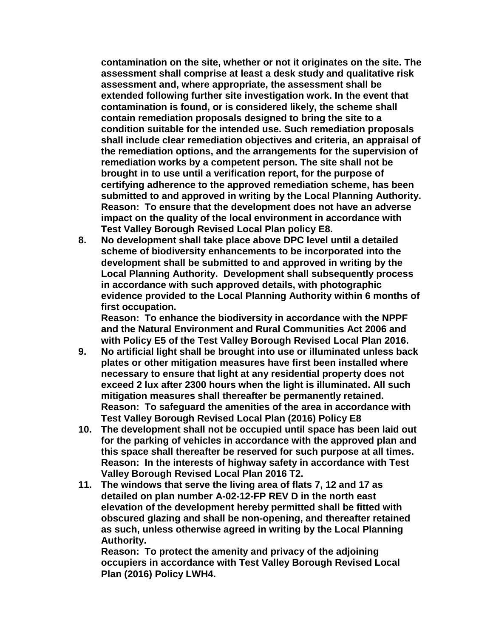**contamination on the site, whether or not it originates on the site. The assessment shall comprise at least a desk study and qualitative risk assessment and, where appropriate, the assessment shall be extended following further site investigation work. In the event that contamination is found, or is considered likely, the scheme shall contain remediation proposals designed to bring the site to a condition suitable for the intended use. Such remediation proposals shall include clear remediation objectives and criteria, an appraisal of the remediation options, and the arrangements for the supervision of remediation works by a competent person. The site shall not be brought in to use until a verification report, for the purpose of certifying adherence to the approved remediation scheme, has been submitted to and approved in writing by the Local Planning Authority. Reason: To ensure that the development does not have an adverse impact on the quality of the local environment in accordance with Test Valley Borough Revised Local Plan policy E8.**

**8. No development shall take place above DPC level until a detailed scheme of biodiversity enhancements to be incorporated into the development shall be submitted to and approved in writing by the Local Planning Authority. Development shall subsequently process in accordance with such approved details, with photographic evidence provided to the Local Planning Authority within 6 months of first occupation.**

**Reason: To enhance the biodiversity in accordance with the NPPF and the Natural Environment and Rural Communities Act 2006 and with Policy E5 of the Test Valley Borough Revised Local Plan 2016.**

- **9. No artificial light shall be brought into use or illuminated unless back plates or other mitigation measures have first been installed where necessary to ensure that light at any residential property does not exceed 2 lux after 2300 hours when the light is illuminated. All such mitigation measures shall thereafter be permanently retained. Reason: To safeguard the amenities of the area in accordance with Test Valley Borough Revised Local Plan (2016) Policy E8**
- **10. The development shall not be occupied until space has been laid out for the parking of vehicles in accordance with the approved plan and this space shall thereafter be reserved for such purpose at all times. Reason: In the interests of highway safety in accordance with Test Valley Borough Revised Local Plan 2016 T2.**
- **11. The windows that serve the living area of flats 7, 12 and 17 as detailed on plan number A-02-12-FP REV D in the north east elevation of the development hereby permitted shall be fitted with obscured glazing and shall be non-opening, and thereafter retained as such, unless otherwise agreed in writing by the Local Planning Authority.**

**Reason: To protect the amenity and privacy of the adjoining occupiers in accordance with Test Valley Borough Revised Local Plan (2016) Policy LWH4.**